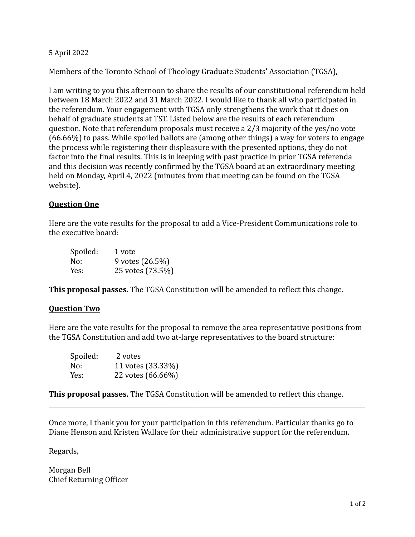## 5 April 2022

Members of the Toronto School of Theology Graduate Students' Association (TGSA),

I am writing to you this afternoon to share the results of our constitutional referendum held between 18 March 2022 and 31 March 2022. I would like to thank all who participated in the referendum. Your engagement with TGSA only strengthens the work that it does on behalf of graduate students at TST. Listed below are the results of each referendum question. Note that referendum proposals must receive a  $2/3$  majority of the yes/no vote  $(66.66%)$  to pass. While spoiled ballots are (among other things) a way for voters to engage the process while registering their displeasure with the presented options, they do not factor into the final results. This is in keeping with past practice in prior TGSA referenda and this decision was recently confirmed by the TGSA board at an extraordinary meeting held on Monday, April 4, 2022 (minutes from that meeting can be found on the TGSA website). 

## **Question One**

Here are the vote results for the proposal to add a Vice-President Communications role to the executive board:

| Spoiled: | 1 vote           |
|----------|------------------|
| No:      | 9 votes (26.5%)  |
| Yes:     | 25 votes (73.5%) |

**This proposal passes.** The TGSA Constitution will be amended to reflect this change.

## **Question Two**

Here are the vote results for the proposal to remove the area representative positions from the TGSA Constitution and add two at-large representatives to the board structure:

| Spoiled: | 2 votes           |
|----------|-------------------|
| No:      | 11 votes (33.33%) |
| Yes:     | 22 votes (66.66%) |

**This proposal passes.** The TGSA Constitution will be amended to reflect this change.

Once more, I thank you for your participation in this referendum. Particular thanks go to Diane Henson and Kristen Wallace for their administrative support for the referendum.

\_\_\_\_\_\_\_\_\_\_\_\_\_\_\_\_\_\_\_\_\_\_\_\_\_\_\_\_\_\_\_\_\_\_\_\_\_\_\_\_\_\_\_\_\_\_\_\_\_\_\_\_\_\_\_\_\_\_\_\_\_\_\_\_\_\_\_\_\_\_\_\_\_\_\_\_\_\_\_\_\_\_\_\_\_\_\_\_\_\_\_\_\_\_\_\_\_\_\_\_\_\_\_\_\_

Regards, 

Morgan Bell Chief Returning Officer